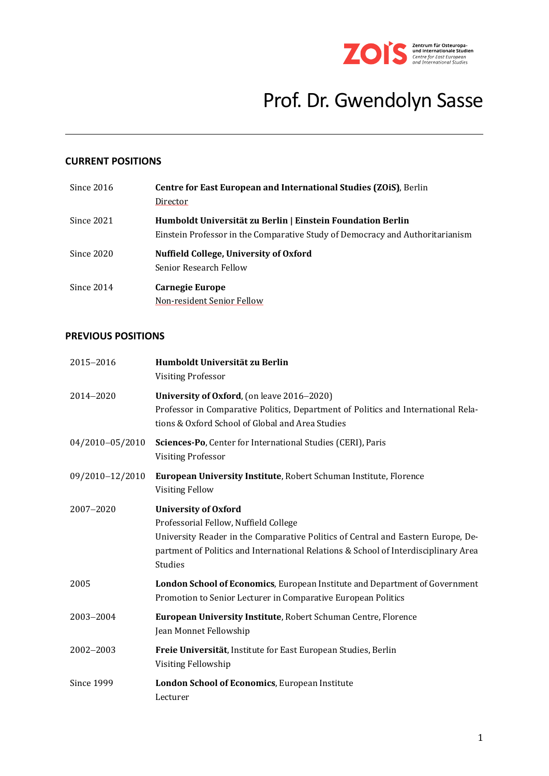

# Prof. Dr. Gwendolyn Sasse

## **CURRENT POSITIONS**

| Since $2016$ | <b>Centre for East European and International Studies (ZOIS)</b> , Berlin<br>Director                                                        |
|--------------|----------------------------------------------------------------------------------------------------------------------------------------------|
| Since 2021   | Humboldt Universität zu Berlin   Einstein Foundation Berlin<br>Einstein Professor in the Comparative Study of Democracy and Authoritarianism |
| Since 2020   | Nuffield College, University of Oxford<br>Senior Research Fellow                                                                             |
| Since 2014   | Carnegie Europe<br>Non-resident Senior Fellow                                                                                                |

## **PREVIOUS POSITIONS**

| 2015-2016         | Humboldt Universität zu Berlin<br><b>Visiting Professor</b>                                                                                                                                                                                                       |
|-------------------|-------------------------------------------------------------------------------------------------------------------------------------------------------------------------------------------------------------------------------------------------------------------|
| 2014-2020         | University of Oxford, (on leave 2016–2020)<br>Professor in Comparative Politics, Department of Politics and International Rela-<br>tions & Oxford School of Global and Area Studies                                                                               |
| 04/2010-05/2010   | Sciences-Po, Center for International Studies (CERI), Paris<br><b>Visiting Professor</b>                                                                                                                                                                          |
| 09/2010-12/2010   | European University Institute, Robert Schuman Institute, Florence<br><b>Visiting Fellow</b>                                                                                                                                                                       |
| 2007-2020         | <b>University of Oxford</b><br>Professorial Fellow, Nuffield College<br>University Reader in the Comparative Politics of Central and Eastern Europe, De-<br>partment of Politics and International Relations & School of Interdisciplinary Area<br><b>Studies</b> |
| 2005              | London School of Economics, European Institute and Department of Government<br>Promotion to Senior Lecturer in Comparative European Politics                                                                                                                      |
| 2003-2004         | European University Institute, Robert Schuman Centre, Florence<br>Jean Monnet Fellowship                                                                                                                                                                          |
| 2002-2003         | Freie Universität, Institute for East European Studies, Berlin<br>Visiting Fellowship                                                                                                                                                                             |
| <b>Since 1999</b> | London School of Economics, European Institute<br>Lecturer                                                                                                                                                                                                        |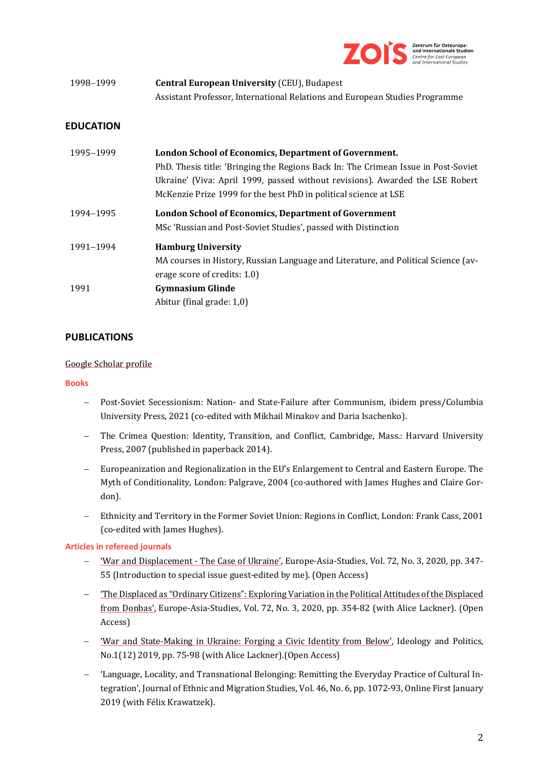

| 1998–1999 | <b>Central European University (CEU), Budapest</b>                          |
|-----------|-----------------------------------------------------------------------------|
|           | Assistant Professor, International Relations and European Studies Programme |

## **EDUCATION**

| 1995–1999 | London School of Economics, Department of Government.<br>PhD. Thesis title: 'Bringing the Regions Back In: The Crimean Issue in Post-Soviet<br>Ukraine' (Viva: April 1999, passed without revisions). Awarded the LSE Robert<br>McKenzie Prize 1999 for the best PhD in political science at LSE |
|-----------|--------------------------------------------------------------------------------------------------------------------------------------------------------------------------------------------------------------------------------------------------------------------------------------------------|
| 1994–1995 | <b>London School of Economics, Department of Government</b><br>MSc 'Russian and Post-Soviet Studies', passed with Distinction                                                                                                                                                                    |
| 1991-1994 | <b>Hamburg University</b><br>MA courses in History, Russian Language and Literature, and Political Science (av-<br>erage score of credits: 1.0)                                                                                                                                                  |
| 1991      | <b>Gymnasium Glinde</b><br>Abitur (final grade: 1,0)                                                                                                                                                                                                                                             |

## **PUBLICATIONS**

#### [Google Scholar profile](https://scholar.google.com/citations?user=AzwvbScAAAAJ&hl=en)

#### **Books**

- − Post-Soviet Secessionism: Nation- and State-Failure after Communism, ibidem press/Columbia University Press, 2021 (co-edited with Mikhail Minakov and Daria Isachenko).
- − The Crimea Question: Identity, Transition, and Conflict, Cambridge, Mass.: Harvard University Press, 2007 (published in paperback 2014).
- − Europeanization and Regionalization in the EU's Enlargement to Central and Eastern Europe. The Myth of Conditionality, London: Palgrave, 2004 (co-authored with James Hughes and Claire Gordon).
- Ethnicity and Territory in the Former Soviet Union: Regions in Conflict, London: Frank Cass, 2001 (co-edited with James Hughes).

#### **Articles in refereed journals**

- − ['War and Displacement -](https://www.tandfonline.com/doi/full/10.1080/09668136.2020.1728087?scroll=top&needAccess=true) The Case of Ukraine', Europe-Asia-Studies, Vol. 72, No. 3, 2020, pp. 347- 55 (Introduction to special issue guest-edited by me). (Open Access)
- − ['The Displaced as "Ordinary Citizens": Exploring Variation in the Political Attitudes of the Displaced](https://www.tandfonline.com/doi/full/10.1080/09668136.2020.1725448?scroll=top&needAccess=true)  [from Donbas',](https://www.tandfonline.com/doi/full/10.1080/09668136.2020.1725448?scroll=top&needAccess=true) Europe-Asia-Studies, Vol. 72, No. 3, 2020, pp. 354-82 (with Alice Lackner). (Open Access)
- − ['War and State-Making in Ukraine: Forging a Civic Identity from Below',](https://ideopol.org/wp-content/uploads/2019/11/___ENG.%201.5.%20Sasse%20&%20Lackner%20FIN.pdf) Ideology and Politics, No.1(12) 2019, pp. 75-98 (with Alice Lackner).(Open Access)
- − 'Language, Locality, and Transnational Belonging: Remitting the Everyday Practice of Cultural Integration', Journal of Ethnic and Migration Studies, Vol. 46, No. 6, pp. 1072-93, Online First January 2019 (with Félix Krawatzek).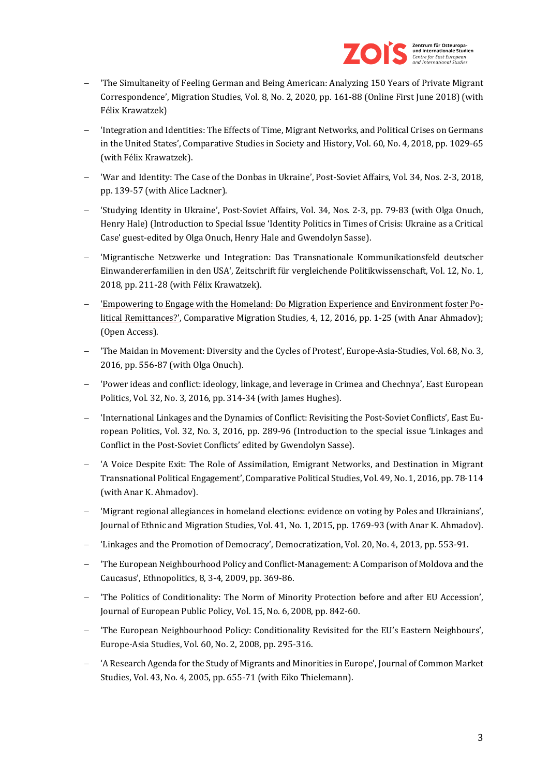

- − 'The Simultaneity of Feeling German and Being American: Analyzing 150 Years of Private Migrant Correspondence', Migration Studies, Vol. 8, No. 2, 2020, pp. 161-88 (Online First June 2018) (with Félix Krawatzek)
- − 'Integration and Identities: The Effects of Time, Migrant Networks, and Political Crises on Germans in the United States', Comparative Studies in Society and History, Vol. 60, No. 4, 2018, pp. 1029-65 (with Félix Krawatzek).
- − 'War and Identity: The Case of the Donbas in Ukraine', Post-Soviet Affairs, Vol. 34, Nos. 2-3, 2018, pp. 139-57 (with Alice Lackner).
- − 'Studying Identity in Ukraine', Post-Soviet Affairs, Vol. 34, Nos. 2-3, pp. 79-83 (with Olga Onuch, Henry Hale) (Introduction to Special Issue 'Identity Politics in Times of Crisis: Ukraine as a Critical Case' guest-edited by Olga Onuch, Henry Hale and Gwendolyn Sasse).
- − 'Migrantische Netzwerke und Integration: Das Transnationale Kommunikationsfeld deutscher Einwandererfamilien in den USA', Zeitschrift für vergleichende Politikwissenschaft, Vol. 12, No. 1, 2018, pp. 211-28 (with Félix Krawatzek).
- − ['Empowering to Engage with the Homeland: Do Migration Experience and Environment foster Po](http://link.springer.com/article/10.1186/s40878-016-0041-z)[litical Remittances?',](http://link.springer.com/article/10.1186/s40878-016-0041-z) Comparative Migration Studies, 4, 12, 2016, pp. 1-25 (with Anar Ahmadov); (Open Access).
- − 'The Maidan in Movement: Diversity and the Cycles of Protest', Europe-Asia-Studies, Vol. 68, No. 3, 2016, pp. 556-87 (with Olga Onuch).
- − 'Power ideas and conflict: ideology, linkage, and leverage in Crimea and Chechnya', East European Politics, Vol. 32, No. 3, 2016, pp. 314-34 (with James Hughes).
- − 'International Linkages and the Dynamics of Conflict: Revisiting the Post-Soviet Conflicts', East European Politics, Vol. 32, No. 3, 2016, pp. 289-96 (Introduction to the special issue 'Linkages and Conflict in the Post-Soviet Conflicts' edited by Gwendolyn Sasse).
- − 'A Voice Despite Exit: The Role of Assimilation, Emigrant Networks, and Destination in Migrant Transnational Political Engagement', Comparative Political Studies, Vol. 49, No. 1, 2016, pp. 78-114 (with Anar K. Ahmadov).
- − 'Migrant regional allegiances in homeland elections: evidence on voting by Poles and Ukrainians', Journal of Ethnic and Migration Studies, Vol. 41, No. 1, 2015, pp. 1769-93 (with Anar K. Ahmadov).
- − 'Linkages and the Promotion of Democracy', Democratization, Vol. 20, No. 4, 2013, pp. 553-91.
- − 'The European Neighbourhood Policy and Conflict-Management: A Comparison of Moldova and the Caucasus', Ethnopolitics, 8, 3-4, 2009, pp. 369-86.
- − 'The Politics of Conditionality: The Norm of Minority Protection before and after EU Accession', Journal of European Public Policy, Vol. 15, No. 6, 2008, pp. 842-60.
- − 'The European Neighbourhood Policy: Conditionality Revisited for the EU's Eastern Neighbours', Europe-Asia Studies, Vol. 60, No. 2, 2008, pp. 295-316.
- − 'A Research Agenda for the Study of Migrants and Minorities in Europe', Journal of Common Market Studies, Vol. 43, No. 4, 2005, pp. 655-71 (with Eiko Thielemann).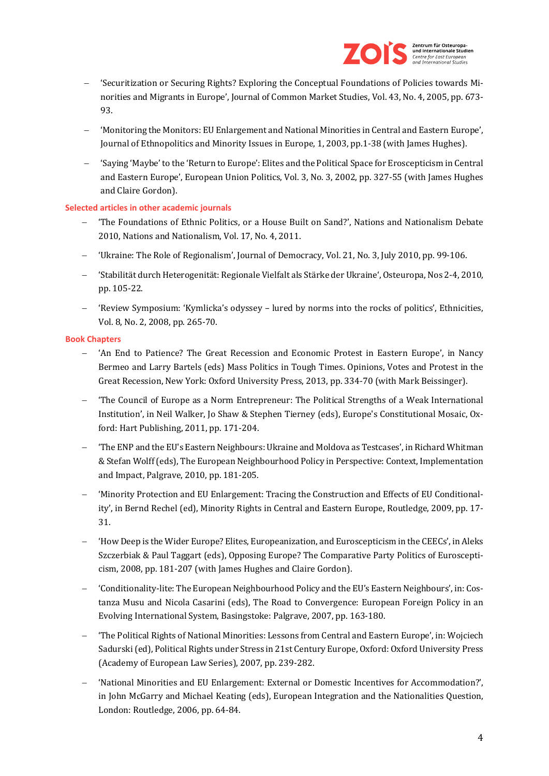

- − 'Securitization or Securing Rights? Exploring the Conceptual Foundations of Policies towards Minorities and Migrants in Europe', Journal of Common Market Studies, Vol. 43, No. 4, 2005, pp. 673- 93.
- − 'Monitoring the Monitors: EU Enlargement and National Minorities in Central and Eastern Europe', Journal of Ethnopolitics and Minority Issues in Europe, 1, 2003, pp.1-38 (with James Hughes).
- − 'Saying 'Maybe' to the 'Return to Europe': Elites and the Political Space for Eroscepticism in Central and Eastern Europe', European Union Politics, Vol. 3, No. 3, 2002, pp. 327-55 (with James Hughes and Claire Gordon).

## **Selected articles in other academic journals**

- − 'The Foundations of Ethnic Politics, or a House Built on Sand?', Nations and Nationalism Debate 2010, Nations and Nationalism, Vol. 17, No. 4, 2011.
- − 'Ukraine: The Role of Regionalism', Journal of Democracy, Vol. 21, No. 3, July 2010, pp. 99-106.
- − 'Stabilität durch Heterogenität: Regionale Vielfalt als Stärke der Ukraine', Osteuropa, Nos 2-4, 2010, pp. 105-22.
- − 'Review Symposium: 'Kymlicka's odyssey lured by norms into the rocks of politics', Ethnicities, Vol. 8, No. 2, 2008, pp. 265-70.

#### **Book Chapters**

- − 'An End to Patience? The Great Recession and Economic Protest in Eastern Europe', in Nancy Bermeo and Larry Bartels (eds) Mass Politics in Tough Times. Opinions, Votes and Protest in the Great Recession, New York: Oxford University Press, 2013, pp. 334-70 (with Mark Beissinger).
- − 'The Council of Europe as a Norm Entrepreneur: The Political Strengths of a Weak International Institution', in Neil Walker, Jo Shaw & Stephen Tierney (eds), Europe's Constitutional Mosaic, Oxford: Hart Publishing, 2011, pp. 171-204.
- − 'The ENP and the EU's Eastern Neighbours: Ukraine and Moldova as Testcases', in Richard Whitman & Stefan Wolff (eds), The European Neighbourhood Policy in Perspective: Context, Implementation and Impact, Palgrave, 2010, pp. 181-205.
- − 'Minority Protection and EU Enlargement: Tracing the Construction and Effects of EU Conditionality', in Bernd Rechel (ed), Minority Rights in Central and Eastern Europe, Routledge, 2009, pp. 17- 31.
- − 'How Deep is the Wider Europe? Elites, Europeanization, and Euroscepticism in the CEECs', in Aleks Szczerbiak & Paul Taggart (eds), Opposing Europe? The Comparative Party Politics of Euroscepticism, 2008, pp. 181-207 (with James Hughes and Claire Gordon).
- − 'Conditionality-lite: The European Neighbourhood Policy and the EU's Eastern Neighbours', in: Costanza Musu and Nicola Casarini (eds), The Road to Convergence: European Foreign Policy in an Evolving International System, Basingstoke: Palgrave, 2007, pp. 163-180.
- − 'The Political Rights of National Minorities: Lessons from Central and Eastern Europe', in: Wojciech Sadurski (ed), Political Rights under Stress in 21st Century Europe, Oxford: Oxford University Press (Academy of European Law Series), 2007, pp. 239-282.
- − 'National Minorities and EU Enlargement: External or Domestic Incentives for Accommodation?', in John McGarry and Michael Keating (eds), European Integration and the Nationalities Question, London: Routledge, 2006, pp. 64-84.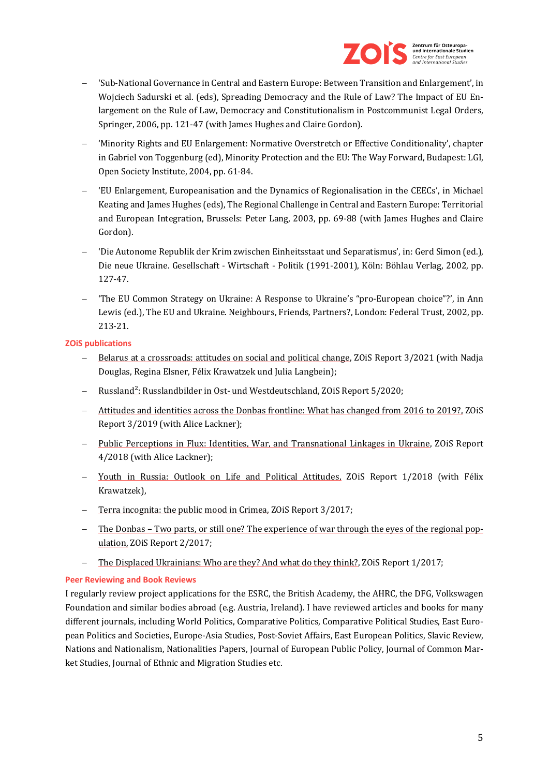

- − 'Sub-National Governance in Central and Eastern Europe: Between Transition and Enlargement', in Wojciech Sadurski et al. (eds), Spreading Democracy and the Rule of Law? The Impact of EU Enlargement on the Rule of Law, Democracy and Constitutionalism in Postcommunist Legal Orders, Springer, 2006, pp. 121-47 (with James Hughes and Claire Gordon).
- − 'Minority Rights and EU Enlargement: Normative Overstretch or Effective Conditionality', chapter in Gabriel von Toggenburg (ed), Minority Protection and the EU: The Way Forward, Budapest: LGI, Open Society Institute, 2004, pp. 61-84.
- − 'EU Enlargement, Europeanisation and the Dynamics of Regionalisation in the CEECs', in Michael Keating and James Hughes (eds), The Regional Challenge in Central and Eastern Europe: Territorial and European Integration, Brussels: Peter Lang, 2003, pp. 69-88 (with James Hughes and Claire Gordon).
- − 'Die Autonome Republik der Krim zwischen Einheitsstaat und Separatismus', in: Gerd Simon (ed.), Die neue Ukraine. Gesellschaft - Wirtschaft - Politik (1991-2001), Köln: Böhlau Verlag, 2002, pp. 127-47.
- − 'The EU Common Strategy on Ukraine: A Response to Ukraine's "pro-European choice"?', in Ann Lewis (ed.), The EU and Ukraine. Neighbours, Friends, Partners?, London: Federal Trust, 2002, pp. 213-21.

## **ZOiS publications**

- [Belarus at a crossroads: attitudes on social and political change,](https://www.zois-berlin.de/publikationen/belarus-at-a-crossroads-attitudes-on-social-and-political-change) ZOiS Report 3/2021 (with Nadja Douglas, Regina Elsner, Félix Krawatzek und Julia Langbein);
- − [Russland²: Russlandbilder in Ost-](https://www.zois-berlin.de/publikationen/russland2-russlandbilder-in-ost-und-westdeutschland) und Westdeutschland, ZOiS Report 5/2020;
- − [Attitudes and identities across the Donbas frontline: What has changed from 2016 to 2019?,](https://www.zois-berlin.de/publikationen/attitudes-and-identities-across-the-donbas-front-line-what-has-changed-from-2016-to-2019) ZOiS Report 3/2019 (with Alice Lackner);
- − [Public Perceptions in Flux: Identities, War, and Transnational Linkages in Ukraine,](https://www.zois-berlin.de/publikationen/public-perceptions-in-flux-identities-war-and-transnational-linkages-in-ukraine) ZOiS Report 4/2018 (with Alice Lackner);
- − [Youth in Russia: Outlook on Life and Political Attitudes,](https://www.zois-berlin.de/publikationen/youth-in-russia-outlook-on-life-and-political-attitudes) ZOiS Report 1/2018 (with Félix Krawatzek),
- − [Terra incognita: the public mood in Crimea,](https://www.zois-berlin.de/publikationen/terra-incognita-the-public-mood-in-crimea) ZOiS Report 3/2017;
- − The Donbas [Two parts, or still one? The experience of war](https://www.zois-berlin.de/publikationen/the-donbas-two-parts-or-still-one) through the eyes of the regional pop[ulation,](https://www.zois-berlin.de/publikationen/the-donbas-two-parts-or-still-one) ZOiS Report 2/2017;
- − [The Displaced Ukrainians: Who are they? And what do they think?,](https://www.zois-berlin.de/publikationen/the-displaced-ukrainians-who-are-they-and-what-do-they-think) ZOiS Report 1/2017;

## **Peer Reviewing and Book Reviews**

I regularly review project applications for the ESRC, the British Academy, the AHRC, the DFG, Volkswagen Foundation and similar bodies abroad (e.g. Austria, Ireland). I have reviewed articles and books for many different journals, including World Politics, Comparative Politics, Comparative Political Studies, East European Politics and Societies, Europe-Asia Studies, Post-Soviet Affairs, East European Politics, Slavic Review, Nations and Nationalism, Nationalities Papers, Journal of European Public Policy, Journal of Common Market Studies, Journal of Ethnic and Migration Studies etc.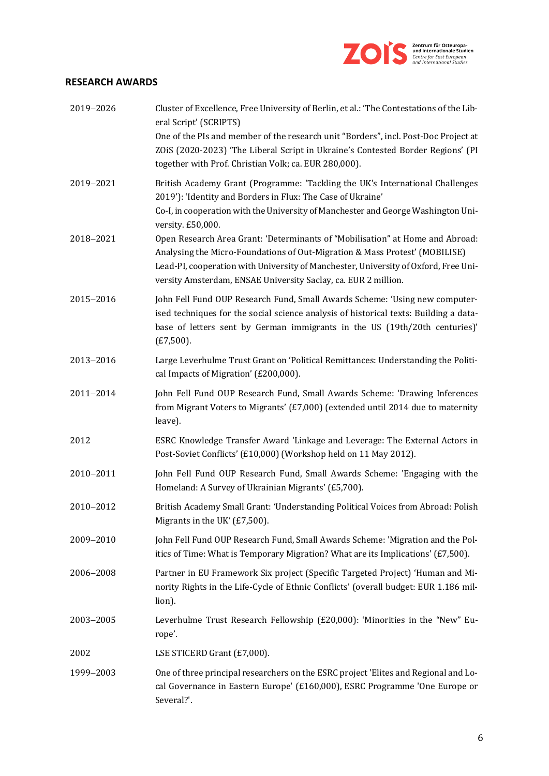

## **RESEARCH AWARDS**

| 2019-2026 | Cluster of Excellence, Free University of Berlin, et al.: 'The Contestations of the Lib-<br>eral Script' (SCRIPTS)                                                                                                                                                                                                    |
|-----------|-----------------------------------------------------------------------------------------------------------------------------------------------------------------------------------------------------------------------------------------------------------------------------------------------------------------------|
|           | One of the PIs and member of the research unit "Borders", incl. Post-Doc Project at<br>ZOIS (2020-2023) 'The Liberal Script in Ukraine's Contested Border Regions' (PI<br>together with Prof. Christian Volk; ca. EUR 280,000).                                                                                       |
| 2019-2021 | British Academy Grant (Programme: 'Tackling the UK's International Challenges<br>2019'): 'Identity and Borders in Flux: The Case of Ukraine'<br>Co-I, in cooperation with the University of Manchester and George Washington Uni-<br>versity. £50,000.                                                                |
| 2018-2021 | Open Research Area Grant: 'Determinants of "Mobilisation" at Home and Abroad:<br>Analysing the Micro-Foundations of Out-Migration & Mass Protest' (MOBILISE)<br>Lead-PI, cooperation with University of Manchester, University of Oxford, Free Uni-<br>versity Amsterdam, ENSAE University Saclay, ca. EUR 2 million. |
| 2015-2016 | John Fell Fund OUP Research Fund, Small Awards Scheme: 'Using new computer-<br>ised techniques for the social science analysis of historical texts: Building a data-<br>base of letters sent by German immigrants in the US (19th/20th centuries)'<br>$(E7,500)$ .                                                    |
| 2013-2016 | Large Leverhulme Trust Grant on 'Political Remittances: Understanding the Politi-<br>cal Impacts of Migration' (£200,000).                                                                                                                                                                                            |
| 2011-2014 | John Fell Fund OUP Research Fund, Small Awards Scheme: 'Drawing Inferences<br>from Migrant Voters to Migrants' (£7,000) (extended until 2014 due to maternity<br>leave).                                                                                                                                              |
| 2012      | ESRC Knowledge Transfer Award 'Linkage and Leverage: The External Actors in<br>Post-Soviet Conflicts' (£10,000) (Workshop held on 11 May 2012).                                                                                                                                                                       |
| 2010-2011 | John Fell Fund OUP Research Fund, Small Awards Scheme: 'Engaging with the<br>Homeland: A Survey of Ukrainian Migrants' (£5,700).                                                                                                                                                                                      |
| 2010-2012 | British Academy Small Grant: 'Understanding Political Voices from Abroad: Polish<br>Migrants in the UK' (£7,500).                                                                                                                                                                                                     |
| 2009-2010 | John Fell Fund OUP Research Fund, Small Awards Scheme: 'Migration and the Pol-<br>itics of Time: What is Temporary Migration? What are its Implications' (£7,500).                                                                                                                                                    |
| 2006-2008 | Partner in EU Framework Six project (Specific Targeted Project) 'Human and Mi-<br>nority Rights in the Life-Cycle of Ethnic Conflicts' (overall budget: EUR 1.186 mil-<br>lion).                                                                                                                                      |
| 2003-2005 | Leverhulme Trust Research Fellowship (£20,000): 'Minorities in the "New" Eu-<br>rope'.                                                                                                                                                                                                                                |
| 2002      | LSE STICERD Grant (£7,000).                                                                                                                                                                                                                                                                                           |
| 1999-2003 | One of three principal researchers on the ESRC project 'Elites and Regional and Lo-<br>cal Governance in Eastern Europe' (£160,000), ESRC Programme 'One Europe or<br>Several?'.                                                                                                                                      |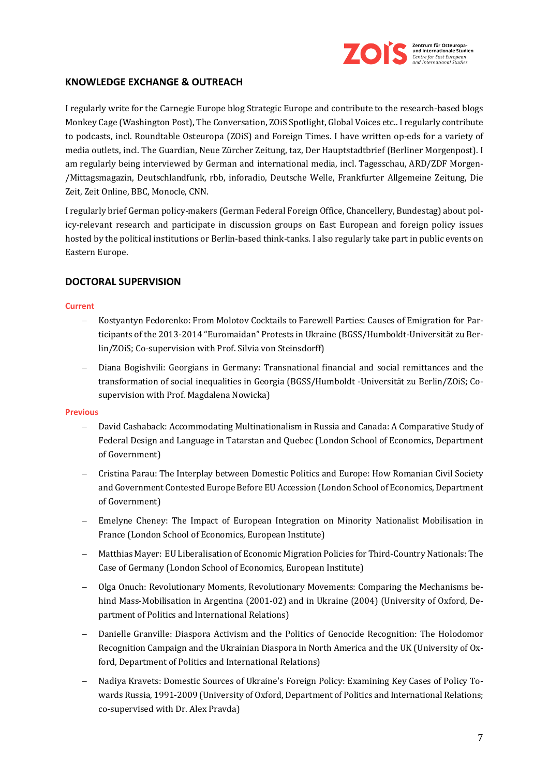

## **KNOWLEDGE EXCHANGE & OUTREACH**

I regularly write for the Carnegie Europe blog Strategic Europe and contribute to the research-based blogs Monkey Cage (Washington Post), The Conversation, ZOiS Spotlight, Global Voices etc.. I regularly contribute to podcasts, incl. Roundtable Osteuropa (ZOiS) and Foreign Times. I have written op-eds for a variety of media outlets, incl. The Guardian, Neue Zürcher Zeitung, taz, Der Hauptstadtbrief (Berliner Morgenpost). I am regularly being interviewed by German and international media, incl. Tagesschau, ARD/ZDF Morgen- /Mittagsmagazin, Deutschlandfunk, rbb, inforadio, Deutsche Welle, Frankfurter Allgemeine Zeitung, Die Zeit, Zeit Online, BBC, Monocle, CNN.

I regularly brief German policy-makers (German Federal Foreign Office, Chancellery, Bundestag) about policy-relevant research and participate in discussion groups on East European and foreign policy issues hosted by the political institutions or Berlin-based think-tanks. I also regularly take part in public events on Eastern Europe.

## **DOCTORAL SUPERVISION**

#### **Current**

- − Kostyantyn Fedorenko: From Molotov Cocktails to Farewell Parties: Causes of Emigration for Participants of the 2013-2014 "Euromaidan" Protests in Ukraine (BGSS/Humboldt-Universität zu Berlin/ZOiS; Co-supervision with Prof. Silvia von Steinsdorff)
- − Diana Bogishvili: Georgians in Germany: Transnational financial and social remittances and the transformation of social inequalities in Georgia (BGSS/Humboldt -Universität zu Berlin/ZOiS; Cosupervision with Prof. Magdalena Nowicka)

#### **Previous**

- − David Cashaback: Accommodating Multinationalism in Russia and Canada: A Comparative Study of Federal Design and Language in Tatarstan and Quebec (London School of Economics, Department of Government)
- − Cristina Parau: The Interplay between Domestic Politics and Europe: How Romanian Civil Society and Government Contested Europe Before EU Accession (London School of Economics, Department of Government)
- − Emelyne Cheney: The Impact of European Integration on Minority Nationalist Mobilisation in France (London School of Economics, European Institute)
- − Matthias Mayer: EU Liberalisation of Economic Migration Policies for Third-Country Nationals: The Case of Germany (London School of Economics, European Institute)
- − Olga Onuch: Revolutionary Moments, Revolutionary Movements: Comparing the Mechanisms behind Mass-Mobilisation in Argentina (2001-02) and in Ukraine (2004) (University of Oxford, Department of Politics and International Relations)
- − Danielle Granville: Diaspora Activism and the Politics of Genocide Recognition: The Holodomor Recognition Campaign and the Ukrainian Diaspora in North America and the UK (University of Oxford, Department of Politics and International Relations)
- − Nadiya Kravets: Domestic Sources of Ukraine's Foreign Policy: Examining Key Cases of Policy Towards Russia, 1991-2009 (University of Oxford, Department of Politics and International Relations; co-supervised with Dr. Alex Pravda)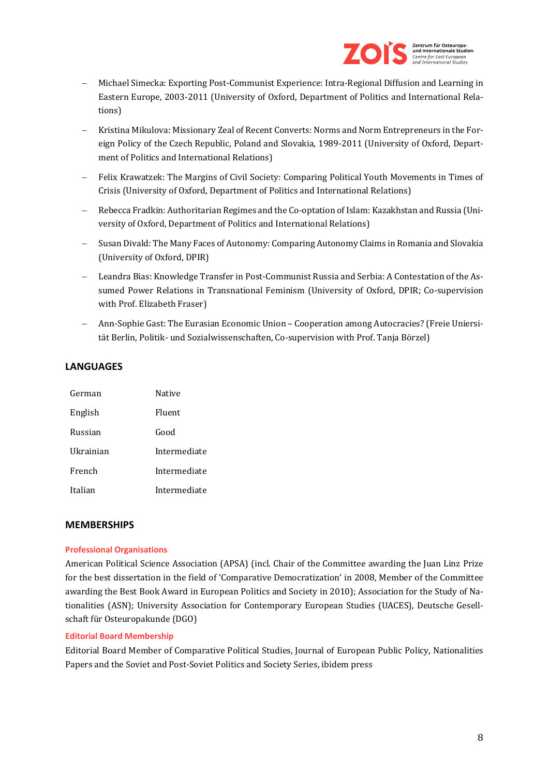

- − Michael Simecka: Exporting Post-Communist Experience: Intra-Regional Diffusion and Learning in Eastern Europe, 2003-2011 (University of Oxford, Department of Politics and International Relations)
- − Kristina Mikulova: Missionary Zeal of Recent Converts: Norms and Norm Entrepreneurs in the Foreign Policy of the Czech Republic, Poland and Slovakia, 1989-2011 (University of Oxford, Department of Politics and International Relations)
- − Felix Krawatzek: The Margins of Civil Society: Comparing Political Youth Movements in Times of Crisis (University of Oxford, Department of Politics and International Relations)
- − Rebecca Fradkin: Authoritarian Regimes and the Co-optation of Islam: Kazakhstan and Russia (University of Oxford, Department of Politics and International Relations)
- − Susan Divald: The Many Faces of Autonomy: Comparing Autonomy Claims in Romania and Slovakia (University of Oxford, DPIR)
- − Leandra Bias: Knowledge Transfer in Post-Communist Russia and Serbia: A Contestation of the Assumed Power Relations in Transnational Feminism (University of Oxford, DPIR; Co-supervision with Prof. Elizabeth Fraser)
- − Ann-Sophie Gast: The Eurasian Economic Union Cooperation among Autocracies? (Freie Uniersität Berlin, Politik- und Sozialwissenschaften, Co-supervision with Prof. Tanja Börzel)

## **LANGUAGES**

| German    | Native       |
|-----------|--------------|
| English   | Fluent       |
| Russian   | Good         |
| Ukrainian | Intermediate |
| French    | Intermediate |
| Italian   | Intermediate |

## **MEMBERSHIPS**

## **Professional Organisations**

American Political Science Association (APSA) (incl. Chair of the Committee awarding the Juan Linz Prize for the best dissertation in the field of 'Comparative Democratization' in 2008, Member of the Committee awarding the Best Book Award in European Politics and Society in 2010); Association for the Study of Nationalities (ASN); University Association for Contemporary European Studies (UACES), Deutsche Gesellschaft für Osteuropakunde (DGO)

## **Editorial Board Membership**

Editorial Board Member of Comparative Political Studies, Journal of European Public Policy, Nationalities Papers and the Soviet and Post-Soviet Politics and Society Series, ibidem press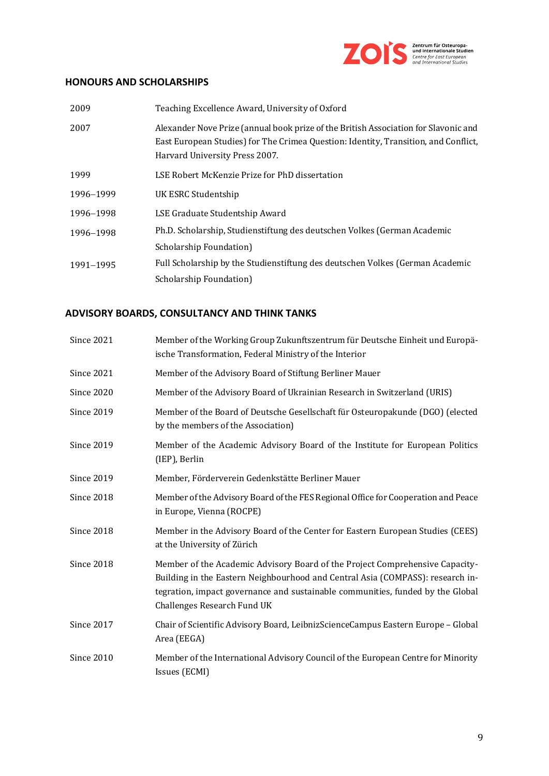

## **HONOURS AND SCHOLARSHIPS**

| 2009      | Teaching Excellence Award, University of Oxford                                                                                                                                                              |
|-----------|--------------------------------------------------------------------------------------------------------------------------------------------------------------------------------------------------------------|
| 2007      | Alexander Nove Prize (annual book prize of the British Association for Slavonic and<br>East European Studies) for The Crimea Question: Identity, Transition, and Conflict,<br>Harvard University Press 2007. |
| 1999      | LSE Robert McKenzie Prize for PhD dissertation                                                                                                                                                               |
| 1996-1999 | UK ESRC Studentship                                                                                                                                                                                          |
| 1996-1998 | LSE Graduate Studentship Award                                                                                                                                                                               |
| 1996-1998 | Ph.D. Scholarship, Studienstiftung des deutschen Volkes (German Academic                                                                                                                                     |
|           | Scholarship Foundation)                                                                                                                                                                                      |
| 1991-1995 | Full Scholarship by the Studienstiftung des deutschen Volkes (German Academic                                                                                                                                |
|           | Scholarship Foundation)                                                                                                                                                                                      |

# **ADVISORY BOARDS, CONSULTANCY AND THINK TANKS**

| <b>Since 2021</b> | Member of the Working Group Zukunftszentrum für Deutsche Einheit und Europä-<br>ische Transformation, Federal Ministry of the Interior                                                                                                                                          |
|-------------------|---------------------------------------------------------------------------------------------------------------------------------------------------------------------------------------------------------------------------------------------------------------------------------|
| <b>Since 2021</b> | Member of the Advisory Board of Stiftung Berliner Mauer                                                                                                                                                                                                                         |
| <b>Since 2020</b> | Member of the Advisory Board of Ukrainian Research in Switzerland (URIS)                                                                                                                                                                                                        |
| <b>Since 2019</b> | Member of the Board of Deutsche Gesellschaft für Osteuropakunde (DGO) (elected<br>by the members of the Association)                                                                                                                                                            |
| <b>Since 2019</b> | Member of the Academic Advisory Board of the Institute for European Politics<br>(IEP), Berlin                                                                                                                                                                                   |
| <b>Since 2019</b> | Member, Förderverein Gedenkstätte Berliner Mauer                                                                                                                                                                                                                                |
| <b>Since 2018</b> | Member of the Advisory Board of the FES Regional Office for Cooperation and Peace<br>in Europe, Vienna (ROCPE)                                                                                                                                                                  |
| <b>Since 2018</b> | Member in the Advisory Board of the Center for Eastern European Studies (CEES)<br>at the University of Zürich                                                                                                                                                                   |
| <b>Since 2018</b> | Member of the Academic Advisory Board of the Project Comprehensive Capacity-<br>Building in the Eastern Neighbourhood and Central Asia (COMPASS): research in-<br>tegration, impact governance and sustainable communities, funded by the Global<br>Challenges Research Fund UK |
| <b>Since 2017</b> | Chair of Scientific Advisory Board, LeibnizScienceCampus Eastern Europe - Global<br>Area (EEGA)                                                                                                                                                                                 |
| <b>Since 2010</b> | Member of the International Advisory Council of the European Centre for Minority<br>Issues (ECMI)                                                                                                                                                                               |